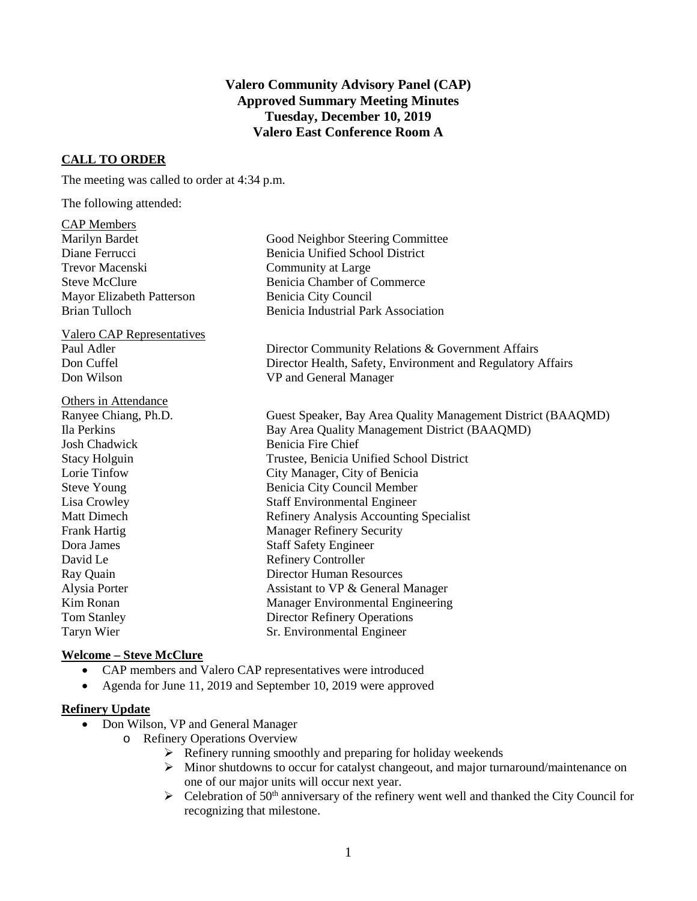## **Valero Community Advisory Panel (CAP) Approved Summary Meeting Minutes Tuesday, December 10, 2019 Valero East Conference Room A**

## **CALL TO ORDER**

The meeting was called to order at 4:34 p.m.

The following attended:

CAP Members

| Marilyn Bardet                    | Good Neighbor Steering Committee                             |
|-----------------------------------|--------------------------------------------------------------|
| Diane Ferrucci                    | <b>Benicia Unified School District</b>                       |
| <b>Trevor Macenski</b>            | Community at Large                                           |
| <b>Steve McClure</b>              | Benicia Chamber of Commerce                                  |
| Mayor Elizabeth Patterson         | Benicia City Council                                         |
| <b>Brian Tulloch</b>              | <b>Benicia Industrial Park Association</b>                   |
| <b>Valero CAP Representatives</b> |                                                              |
| Paul Adler                        | Director Community Relations & Government Affairs            |
| Don Cuffel                        | Director Health, Safety, Environment and Regulatory Affairs  |
| Don Wilson                        | VP and General Manager                                       |
| <b>Others in Attendance</b>       |                                                              |
| Ranyee Chiang, Ph.D.              | Guest Speaker, Bay Area Quality Management District (BAAQMD) |
| Ila Perkins                       | Bay Area Quality Management District (BAAQMD)                |
| <b>Josh Chadwick</b>              | <b>Benicia Fire Chief</b>                                    |
| <b>Stacy Holguin</b>              | Trustee, Benicia Unified School District                     |
| Lorie Tinfow                      | City Manager, City of Benicia                                |
| <b>Steve Young</b>                | Benicia City Council Member                                  |
| Lisa Crowley                      | <b>Staff Environmental Engineer</b>                          |
| <b>Matt Dimech</b>                | Refinery Analysis Accounting Specialist                      |
| Frank Hartig                      | <b>Manager Refinery Security</b>                             |
| Dora James                        | <b>Staff Safety Engineer</b>                                 |
| David Le                          | <b>Refinery Controller</b>                                   |
| Ray Quain                         | <b>Director Human Resources</b>                              |
| Alysia Porter                     | Assistant to VP & General Manager                            |
| Kim Ronan                         | Manager Environmental Engineering                            |
| <b>Tom Stanley</b>                | <b>Director Refinery Operations</b>                          |
| Taryn Wier                        | Sr. Environmental Engineer                                   |
|                                   |                                                              |

## **Welcome – Steve McClure**

- CAP members and Valero CAP representatives were introduced
- Agenda for June 11, 2019 and September 10, 2019 were approved

## **Refinery Update**

- Don Wilson, VP and General Manager
	- o Refinery Operations Overview
		- $\triangleright$  Refinery running smoothly and preparing for holiday weekends
		- Minor shutdowns to occur for catalyst changeout, and major turnaround/maintenance on one of our major units will occur next year.
		- $\triangleright$  Celebration of 50<sup>th</sup> anniversary of the refinery went well and thanked the City Council for recognizing that milestone.